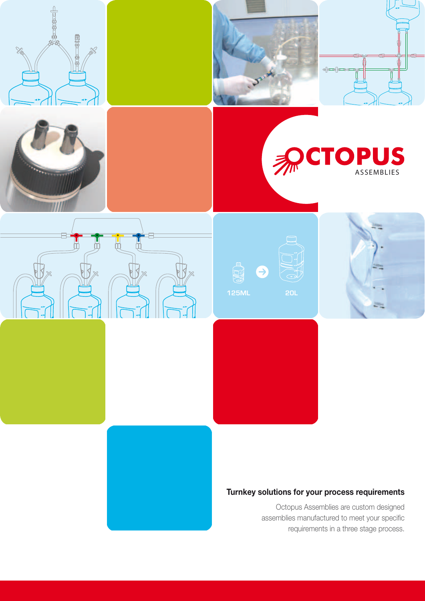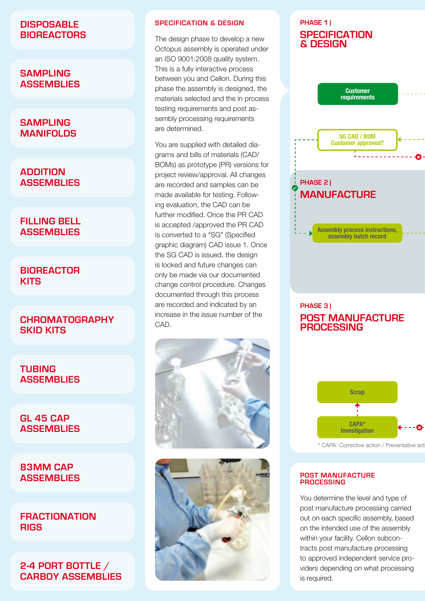## **Disposable bioreactors**

### **Sampling assemblies**

### **Sampling manifolds**

## **Addition assemblies**

## **Filling Bell assemblies**

## **Bioreactor kits**

## **Chromatography skid kits**

### **Tubing assemblies**

### **GL 45 Cap assemblies**

## **83mm Cap assemblies**

### **Fractionation rigs**

# **2-4 port bottle / carboy assemblies**

### **Specification & Design**

The design phase to develop a new Octopus assembly is operated under an ISO 9001:2008 quality system. This is a fully interactive process between you and Cellon. During this phase the assembly is designed, the materials selected and the in process testing requirements and post assembly processing requirements are determined.

You are supplied with detailed diagrams and bills of materials (CAD/ BOMs) as prototype (PR) versions for project review/approval. All changes are recorded and samples can be made available for testing. Following evaluation, the CAD can be further modified. Once the PR CAD is accepted /approved the PR CAD is converted to a "SG" (Specified graphic diagram) CAD issue 1. Once the SG CAD is issued, the design is locked and future changes can only be made via our documented change control procedure. Changes documented through this process are recorded and indicated by an increase in the issue number of the CAD.





# **phase 1 | specification & design**



### **phase 3 | post manufacture processing**



\* CAPA: Corrective action / Preventative action

#### **Post manufacture processing**

You determine the level and type of post manufacture processing carried out on each specific assembly, based on the intended use of the assembly within your facility. Cellon subcontracts post manufacture processing to approved independent service providers depending on what processing is required.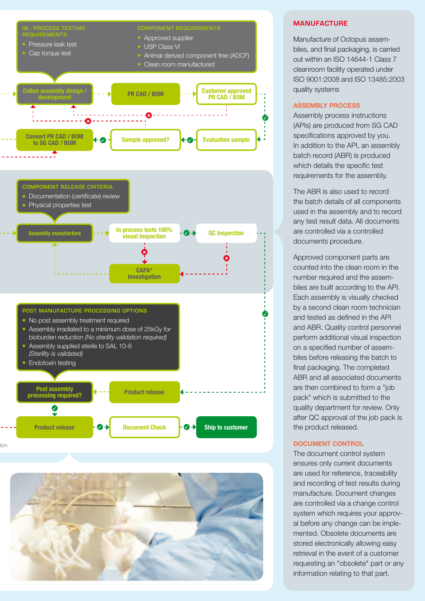



#### **Manufacture**

Manufacture of Octopus assemblies, and final packaging, is carried out within an ISO 14644-1 Class 7 cleanroom facility operated under ISO 9001:2008 and ISO 13485:2003 quality systems

#### **Assembly Process**

Assembly process instructions (APIs) are produced from SG CAD specifications approved by you. In addition to the API, an assembly batch record (ABR) is produced which details the specific test requirements for the assembly.

The ABR is also used to record the batch details of all components used in the assembly and to record any test result data. All documents are controlled via a controlled documents procedure.

Approved component parts are counted into the clean room in the number required and the assemblies are built according to the API. Each assembly is visually checked by a second clean room technician and tested as defined in the API and ABR. Quality control personnel perform additional visual inspection on a specified number of assemblies before releasing the batch to final packaging. The completed ABR and all associated documents are then combined to form a "job pack" which is submitted to the quality department for review. Only after QC approval of the job pack is the product released.

#### **Document control**

The document control system ensures only current documents are used for reference, traceability and recording of test results during manufacture. Document changes are controlled via a change control system which requires your approval before any change can be implemented. Obsolete documents are stored electronically allowing easy retrieval in the event of a customer requesting an "obsolete" part or any information relating to that part.